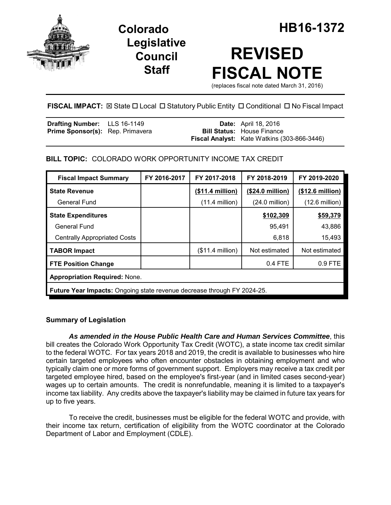

**Legislative Council Staff**

# **REVISED FISCAL NOTE**

(replaces fiscal note dated March 31, 2016)

FISCAL IMPACT:  $\boxtimes$  State  $\Box$  Local  $\Box$  Statutory Public Entity  $\Box$  Conditional  $\Box$  No Fiscal Impact

| <b>Drafting Number:</b> LLS 16-1149     |  | <b>Date:</b> April 18, 2016                        |
|-----------------------------------------|--|----------------------------------------------------|
| <b>Prime Sponsor(s):</b> Rep. Primavera |  | <b>Bill Status:</b> House Finance                  |
|                                         |  | <b>Fiscal Analyst:</b> Kate Watkins (303-866-3446) |

# **BILL TOPIC:** COLORADO WORK OPPORTUNITY INCOME TAX CREDIT

| <b>Fiscal Impact Summary</b>                                                   | FY 2016-2017 | FY 2017-2018      | FY 2018-2019             | FY 2019-2020             |  |
|--------------------------------------------------------------------------------|--------------|-------------------|--------------------------|--------------------------|--|
| <b>State Revenue</b>                                                           |              | (\$11.4 million)  | (\$24.0 million)         | (\$12.6 million)         |  |
| General Fund                                                                   |              | $(11.4$ million)  | $(24.0 \text{ million})$ | $(12.6 \text{ million})$ |  |
| <b>State Expenditures</b>                                                      |              |                   | \$102,309                | \$59,379                 |  |
| <b>General Fund</b>                                                            |              |                   | 95,491                   | 43,886                   |  |
| <b>Centrally Appropriated Costs</b>                                            |              |                   | 6,818                    | 15,493                   |  |
| <b>TABOR Impact</b>                                                            |              | $($11.4$ million) | Not estimated            | Not estimated            |  |
| <b>FTE Position Change</b>                                                     |              |                   | 0.4 FTE                  | 0.9 FTE                  |  |
| <b>Appropriation Required: None.</b>                                           |              |                   |                          |                          |  |
| <b>Future Year Impacts:</b> Ongoing state revenue decrease through FY 2024-25. |              |                   |                          |                          |  |

## **Summary of Legislation**

*As amended in the House Public Health Care and Human Services Committee*, this bill creates the Colorado Work Opportunity Tax Credit (WOTC), a state income tax credit similar to the federal WOTC. For tax years 2018 and 2019, the credit is available to businesses who hire certain targeted employees who often encounter obstacles in obtaining employment and who typically claim one or more forms of government support. Employers may receive a tax credit per targeted employee hired, based on the employee's first-year (and in limited cases second-year) wages up to certain amounts. The credit is nonrefundable, meaning it is limited to a taxpayer's income tax liability. Any credits above the taxpayer's liability may be claimed in future tax years for up to five years.

To receive the credit, businesses must be eligible for the federal WOTC and provide, with their income tax return, certification of eligibility from the WOTC coordinator at the Colorado Department of Labor and Employment (CDLE).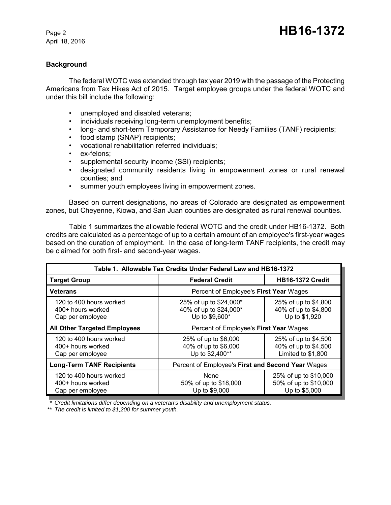# **Background**

The federal WOTC was extended through tax year 2019 with the passage of the Protecting Americans from Tax Hikes Act of 2015. Target employee groups under the federal WOTC and under this bill include the following:

- unemployed and disabled veterans;
- individuals receiving long-term unemployment benefits;
- long- and short-term Temporary Assistance for Needy Families (TANF) recipients;
- food stamp (SNAP) recipients;
- vocational rehabilitation referred individuals;
- ex-felons;
- supplemental security income (SSI) recipients;
- designated community residents living in empowerment zones or rural renewal counties; and
- summer youth employees living in empowerment zones.

Based on current designations, no areas of Colorado are designated as empowerment zones, but Cheyenne, Kiowa, and San Juan counties are designated as rural renewal counties.

Table 1 summarizes the allowable federal WOTC and the credit under HB16-1372. Both credits are calculated as a percentage of up to a certain amount of an employee's first-year wages based on the duration of employment. In the case of long-term TANF recipients, the credit may be claimed for both first- and second-year wages.

| Table 1. Allowable Tax Credits Under Federal Law and HB16-1372   |                                                                    |                                                                    |  |  |
|------------------------------------------------------------------|--------------------------------------------------------------------|--------------------------------------------------------------------|--|--|
| <b>Target Group</b>                                              | <b>Federal Credit</b>                                              | <b>HB16-1372 Credit</b>                                            |  |  |
| <b>Veterans</b>                                                  | Percent of Employee's First Year Wages                             |                                                                    |  |  |
| 120 to 400 hours worked<br>400+ hours worked<br>Cap per employee | 25% of up to \$24,000*<br>40% of up to \$24,000*<br>Up to \$9,600* | 25% of up to \$4,800<br>40% of up to \$4,800<br>Up to \$1,920      |  |  |
| <b>All Other Targeted Employees</b>                              | Percent of Employee's First Year Wages                             |                                                                    |  |  |
| 120 to 400 hours worked<br>400+ hours worked<br>Cap per employee | 25% of up to \$6,000<br>40% of up to \$6,000<br>Up to \$2,400**    | 25% of up to \$4,500<br>40% of up to \$4,500<br>Limited to \$1,800 |  |  |
| <b>Long-Term TANF Recipients</b>                                 | Percent of Employee's First and Second Year Wages                  |                                                                    |  |  |
| 120 to 400 hours worked<br>400+ hours worked<br>Cap per employee | <b>None</b><br>50% of up to \$18,000<br>Up to \$9,000              | 25% of up to \$10,000<br>50% of up to \$10,000<br>Up to \$5,000    |  |  |

*\* Credit limitations differ depending on a veteran's disability and unemployment status.*

*\*\* The credit is limited to \$1,200 for summer youth.*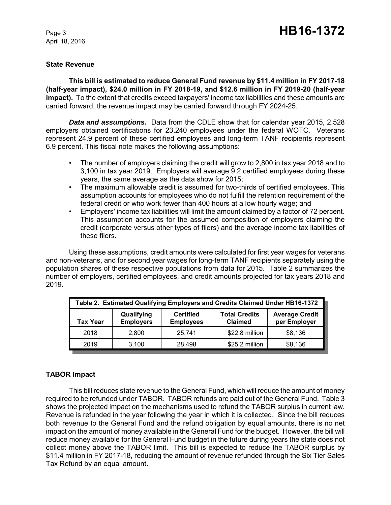#### **State Revenue**

**This bill is estimated to reduce General Fund revenue by \$11.4 million in FY 2017-18 (half-year impact), \$24.0 million in FY 2018-19, and \$12.6 million in FY 2019-20 (half-year impact).** To the extent that credits exceed taxpayers' income tax liabilities and these amounts are carried forward, the revenue impact may be carried forward through FY 2024-25.

*Data and assumptions.* Data from the CDLE show that for calendar year 2015, 2,528 employers obtained certifications for 23,240 employees under the federal WOTC. Veterans represent 24.9 percent of these certified employees and long-term TANF recipients represent 6.9 percent. This fiscal note makes the following assumptions:

- The number of employers claiming the credit will grow to 2,800 in tax year 2018 and to 3,100 in tax year 2019. Employers will average 9.2 certified employees during these years, the same average as the data show for 2015;
- The maximum allowable credit is assumed for two-thirds of certified employees. This assumption accounts for employees who do not fulfill the retention requirement of the federal credit or who work fewer than 400 hours at a low hourly wage; and
- Employers' income tax liabilities will limit the amount claimed by a factor of 72 percent. This assumption accounts for the assumed composition of employers claiming the credit (corporate versus other types of filers) and the average income tax liabilities of these filers.

Using these assumptions, credit amounts were calculated for first year wages for veterans and non-veterans, and for second year wages for long-term TANF recipients separately using the population shares of these respective populations from data for 2015. Table 2 summarizes the number of employers, certified employees, and credit amounts projected for tax years 2018 and 2019.

| Table 2. Estimated Qualifying Employers and Credits Claimed Under HB16-1372 |                                |                                      |                                        |                                       |
|-----------------------------------------------------------------------------|--------------------------------|--------------------------------------|----------------------------------------|---------------------------------------|
| Tax Year                                                                    | Qualifying<br><b>Employers</b> | <b>Certified</b><br><b>Employees</b> | <b>Total Credits</b><br><b>Claimed</b> | <b>Average Credit</b><br>per Employer |
| 2018                                                                        | 2.800                          | 25,741                               | \$22.8 million                         | \$8,136                               |
| 2019                                                                        | 3.100                          | 28,498                               | \$25.2 million                         | \$8,136                               |

# **TABOR Impact**

This bill reduces state revenue to the General Fund, which will reduce the amount of money required to be refunded under TABOR. TABOR refunds are paid out of the General Fund. Table 3 shows the projected impact on the mechanisms used to refund the TABOR surplus in current law. Revenue is refunded in the year following the year in which it is collected. Since the bill reduces both revenue to the General Fund and the refund obligation by equal amounts, there is no net impact on the amount of money available in the General Fund for the budget. However, the bill will reduce money available for the General Fund budget in the future during years the state does not collect money above the TABOR limit. This bill is expected to reduce the TABOR surplus by \$11.4 million in FY 2017-18, reducing the amount of revenue refunded through the Six Tier Sales Tax Refund by an equal amount.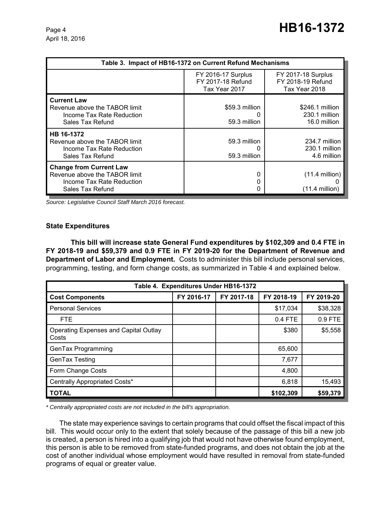| Table 3. Impact of HB16-1372 on Current Refund Mechanisms                                                        |                                                                 |                                                                 |  |  |
|------------------------------------------------------------------------------------------------------------------|-----------------------------------------------------------------|-----------------------------------------------------------------|--|--|
|                                                                                                                  | <b>FY 2016-17 Surplus</b><br>FY 2017-18 Refund<br>Tax Year 2017 | <b>FY 2017-18 Surplus</b><br>FY 2018-19 Refund<br>Tax Year 2018 |  |  |
| <b>Current Law</b><br>Revenue above the TABOR limit<br>Income Tax Rate Reduction<br>Sales Tax Refund             | \$59.3 million<br>59.3 million                                  | \$246.1 million<br>230.1 million<br>16.0 million                |  |  |
| HB 16-1372<br>Revenue above the TABOR limit<br>Income Tax Rate Reduction<br>Sales Tax Refund                     | 59.3 million<br>59.3 million                                    | 234.7 million<br>230.1 million<br>4.6 million                   |  |  |
| <b>Change from Current Law</b><br>Revenue above the TABOR limit<br>Income Tax Rate Reduction<br>Sales Tax Refund | O                                                               | $(11.4$ million)<br>$(11.4$ million)                            |  |  |

*Source: Legislative Council Staff March 2016 forecast.*

#### **State Expenditures**

**This bill will increase state General Fund expenditures by \$102,309 and 0.4 FTE in FY 2018-19 and \$59,379 and 0.9 FTE in FY 2019-20 for the Department of Revenue and Department of Labor and Employment.** Costs to administer this bill include personal services, programming, testing, and form change costs, as summarized in Table 4 and explained below.

| Table 4. Expenditures Under HB16-1372                 |            |            |            |            |  |
|-------------------------------------------------------|------------|------------|------------|------------|--|
| <b>Cost Components</b>                                | FY 2016-17 | FY 2017-18 | FY 2018-19 | FY 2019-20 |  |
| <b>Personal Services</b>                              |            |            | \$17,034   | \$38,328   |  |
| <b>FTE</b>                                            |            |            | 0.4 FTE    | 0.9 FTE    |  |
| <b>Operating Expenses and Capital Outlay</b><br>Costs |            |            | \$380      | \$5,558    |  |
| GenTax Programming                                    |            |            | 65,600     |            |  |
| GenTax Testing                                        |            |            | 7,677      |            |  |
| Form Change Costs                                     |            |            | 4,800      |            |  |
| Centrally Appropriated Costs*                         |            |            | 6,818      | 15,493     |  |
| <b>TOTAL</b>                                          |            |            | \$102,309  | \$59,379   |  |

*\* Centrally appropriated costs are not included in the bill's appropriation.*

The state may experience savings to certain programs that could offset the fiscal impact of this bill. This would occur only to the extent that solely because of the passage of this bill a new job is created, a person is hired into a qualifying job that would not have otherwise found employment, this person is able to be removed from state-funded programs, and does not obtain the job at the cost of another individual whose employment would have resulted in removal from state-funded programs of equal or greater value.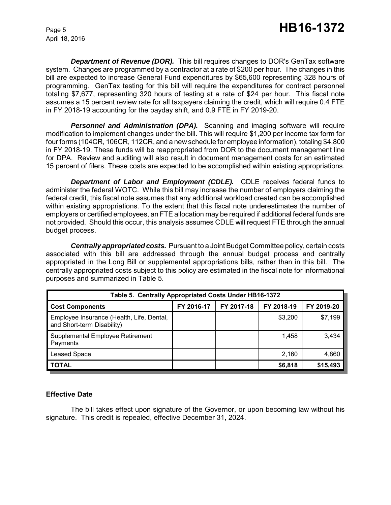**Department of Revenue (DOR).** This bill requires changes to DOR's GenTax software system. Changes are programmed by a contractor at a rate of \$200 per hour. The changes in this bill are expected to increase General Fund expenditures by \$65,600 representing 328 hours of programming. GenTax testing for this bill will require the expenditures for contract personnel totaling \$7,677, representing 320 hours of testing at a rate of \$24 per hour. This fiscal note assumes a 15 percent review rate for all taxpayers claiming the credit, which will require 0.4 FTE in FY 2018-19 accounting for the payday shift, and 0.9 FTE in FY 2019-20.

**Personnel and Administration (DPA).** Scanning and imaging software will require modification to implement changes under the bill. This will require \$1,200 per income tax form for four forms (104CR, 106CR, 112CR, and a new schedule for employee information), totaling \$4,800 in FY 2018-19. These funds will be reappropriated from DOR to the document management line for DPA. Review and auditing will also result in document management costs for an estimated 15 percent of filers. These costs are expected to be accomplished within existing appropriations.

**Department of Labor and Employment (CDLE).** CDLE receives federal funds to administer the federal WOTC. While this bill may increase the number of employers claiming the federal credit, this fiscal note assumes that any additional workload created can be accomplished within existing appropriations. To the extent that this fiscal note underestimates the number of employers or certified employees, an FTE allocation may be required if additional federal funds are not provided. Should this occur, this analysis assumes CDLE will request FTE through the annual budget process.

*Centrally appropriated costs.* Pursuant to a Joint Budget Committee policy, certain costs associated with this bill are addressed through the annual budget process and centrally appropriated in the Long Bill or supplemental appropriations bills, rather than in this bill. The centrally appropriated costs subject to this policy are estimated in the fiscal note for informational purposes and summarized in Table 5.

| Table 5. Centrally Appropriated Costs Under HB16-1372                   |            |            |            |            |  |
|-------------------------------------------------------------------------|------------|------------|------------|------------|--|
| <b>Cost Components</b>                                                  | FY 2016-17 | FY 2017-18 | FY 2018-19 | FY 2019-20 |  |
| Employee Insurance (Health, Life, Dental,<br>and Short-term Disability) |            |            | \$3,200    | \$7,199    |  |
| Supplemental Employee Retirement<br>Payments                            |            |            | 1,458      | 3,434      |  |
| <b>Leased Space</b>                                                     |            |            | 2,160      | 4,860      |  |
| <b>TOTAL</b>                                                            |            |            | \$6,818    | \$15,493   |  |

## **Effective Date**

The bill takes effect upon signature of the Governor, or upon becoming law without his signature. This credit is repealed, effective December 31, 2024.